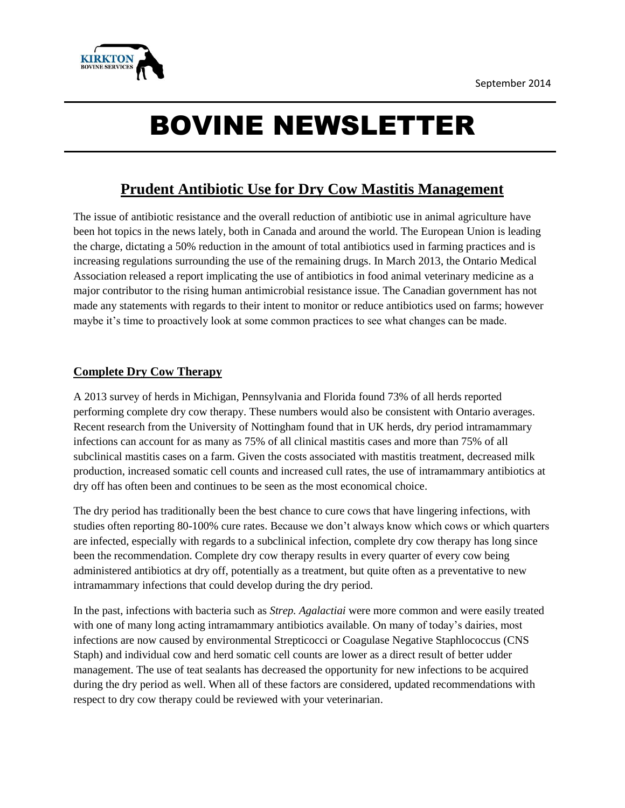

# BOVINE NEWSLETTER

# **Prudent Antibiotic Use for Dry Cow Mastitis Management**

The issue of antibiotic resistance and the overall reduction of antibiotic use in animal agriculture have been hot topics in the news lately, both in Canada and around the world. The European Union is leading the charge, dictating a 50% reduction in the amount of total antibiotics used in farming practices and is increasing regulations surrounding the use of the remaining drugs. In March 2013, the Ontario Medical Association released a report implicating the use of antibiotics in food animal veterinary medicine as a major contributor to the rising human antimicrobial resistance issue. The Canadian government has not made any statements with regards to their intent to monitor or reduce antibiotics used on farms; however maybe it's time to proactively look at some common practices to see what changes can be made.

# **Complete Dry Cow Therapy**

A 2013 survey of herds in Michigan, Pennsylvania and Florida found 73% of all herds reported performing complete dry cow therapy. These numbers would also be consistent with Ontario averages. Recent research from the University of Nottingham found that in UK herds, dry period intramammary infections can account for as many as 75% of all clinical mastitis cases and more than 75% of all subclinical mastitis cases on a farm. Given the costs associated with mastitis treatment, decreased milk production, increased somatic cell counts and increased cull rates, the use of intramammary antibiotics at dry off has often been and continues to be seen as the most economical choice.

The dry period has traditionally been the best chance to cure cows that have lingering infections, with studies often reporting 80-100% cure rates. Because we don't always know which cows or which quarters are infected, especially with regards to a subclinical infection, complete dry cow therapy has long since been the recommendation. Complete dry cow therapy results in every quarter of every cow being administered antibiotics at dry off, potentially as a treatment, but quite often as a preventative to new intramammary infections that could develop during the dry period.

In the past, infections with bacteria such as *Strep. Agalactiai* were more common and were easily treated with one of many long acting intramammary antibiotics available. On many of today's dairies, most infections are now caused by environmental Strepticocci or Coagulase Negative Staphlococcus (CNS Staph) and individual cow and herd somatic cell counts are lower as a direct result of better udder management. The use of teat sealants has decreased the opportunity for new infections to be acquired during the dry period as well. When all of these factors are considered, updated recommendations with respect to dry cow therapy could be reviewed with your veterinarian.